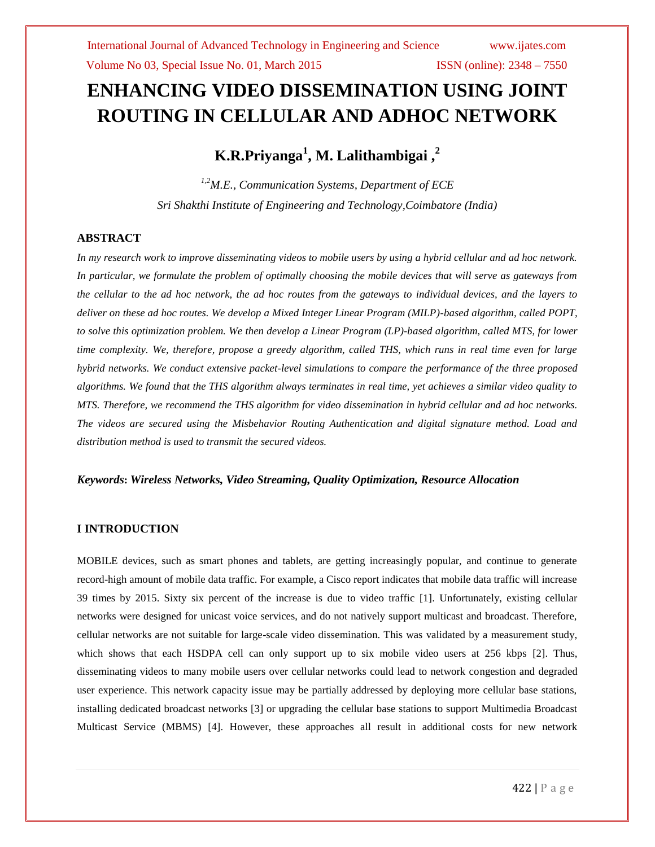# **ENHANCING VIDEO DISSEMINATION USING JOINT ROUTING IN CELLULAR AND ADHOC NETWORK**

**K.R.Priyanga<sup>1</sup> , M. Lalithambigai ,<sup>2</sup>**

*1,2M.E., Communication Systems, Department of ECE Sri Shakthi Institute of Engineering and Technology,Coimbatore (India)*

# **ABSTRACT**

*In my research work to improve disseminating videos to mobile users by using a hybrid cellular and ad hoc network. In particular, we formulate the problem of optimally choosing the mobile devices that will serve as gateways from the cellular to the ad hoc network, the ad hoc routes from the gateways to individual devices, and the layers to deliver on these ad hoc routes. We develop a Mixed Integer Linear Program (MILP)-based algorithm, called POPT, to solve this optimization problem. We then develop a Linear Program (LP)-based algorithm, called MTS, for lower time complexity. We, therefore, propose a greedy algorithm, called THS, which runs in real time even for large hybrid networks. We conduct extensive packet-level simulations to compare the performance of the three proposed algorithms. We found that the THS algorithm always terminates in real time, yet achieves a similar video quality to MTS. Therefore, we recommend the THS algorithm for video dissemination in hybrid cellular and ad hoc networks. The videos are secured using the Misbehavior Routing Authentication and digital signature method. Load and distribution method is used to transmit the secured videos.*

# *Keywords***:** *Wireless Networks, Video Streaming, Quality Optimization, Resource Allocation*

# **I INTRODUCTION**

MOBILE devices, such as smart phones and tablets, are getting increasingly popular, and continue to generate record-high amount of mobile data traffic. For example, a Cisco report indicates that mobile data traffic will increase 39 times by 2015. Sixty six percent of the increase is due to video traffic [1]. Unfortunately, existing cellular networks were designed for unicast voice services, and do not natively support multicast and broadcast. Therefore, cellular networks are not suitable for large-scale video dissemination. This was validated by a measurement study, which shows that each HSDPA cell can only support up to six mobile video users at 256 kbps [2]. Thus, disseminating videos to many mobile users over cellular networks could lead to network congestion and degraded user experience. This network capacity issue may be partially addressed by deploying more cellular base stations, installing dedicated broadcast networks [3] or upgrading the cellular base stations to support Multimedia Broadcast Multicast Service (MBMS) [4]. However, these approaches all result in additional costs for new network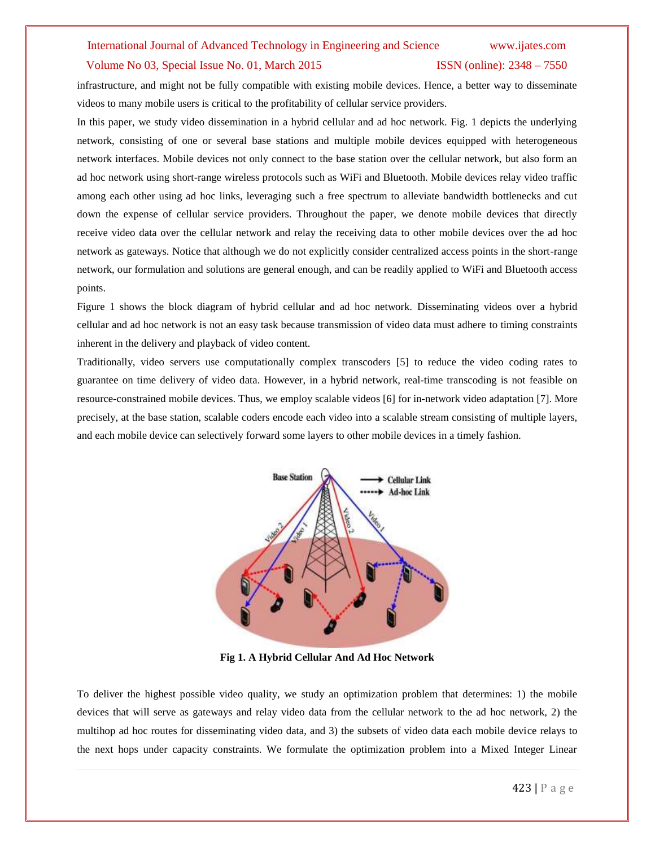### Volume No 03, Special Issue No. 01, March 2015 ISSN (online): 2348 – 7550

infrastructure, and might not be fully compatible with existing mobile devices. Hence, a better way to disseminate videos to many mobile users is critical to the profitability of cellular service providers.

In this paper, we study video dissemination in a hybrid cellular and ad hoc network. Fig. 1 depicts the underlying network, consisting of one or several base stations and multiple mobile devices equipped with heterogeneous network interfaces. Mobile devices not only connect to the base station over the cellular network, but also form an ad hoc network using short-range wireless protocols such as WiFi and Bluetooth. Mobile devices relay video traffic among each other using ad hoc links, leveraging such a free spectrum to alleviate bandwidth bottlenecks and cut down the expense of cellular service providers. Throughout the paper, we denote mobile devices that directly receive video data over the cellular network and relay the receiving data to other mobile devices over the ad hoc network as gateways. Notice that although we do not explicitly consider centralized access points in the short-range network, our formulation and solutions are general enough, and can be readily applied to WiFi and Bluetooth access points.

Figure 1 shows the block diagram of hybrid cellular and ad hoc network. Disseminating videos over a hybrid cellular and ad hoc network is not an easy task because transmission of video data must adhere to timing constraints inherent in the delivery and playback of video content.

Traditionally, video servers use computationally complex transcoders [5] to reduce the video coding rates to guarantee on time delivery of video data. However, in a hybrid network, real-time transcoding is not feasible on resource-constrained mobile devices. Thus, we employ scalable videos [6] for in-network video adaptation [7]. More precisely, at the base station, scalable coders encode each video into a scalable stream consisting of multiple layers, and each mobile device can selectively forward some layers to other mobile devices in a timely fashion.



**Fig 1. A Hybrid Cellular And Ad Hoc Network**

To deliver the highest possible video quality, we study an optimization problem that determines: 1) the mobile devices that will serve as gateways and relay video data from the cellular network to the ad hoc network, 2) the multihop ad hoc routes for disseminating video data, and 3) the subsets of video data each mobile device relays to the next hops under capacity constraints. We formulate the optimization problem into a Mixed Integer Linear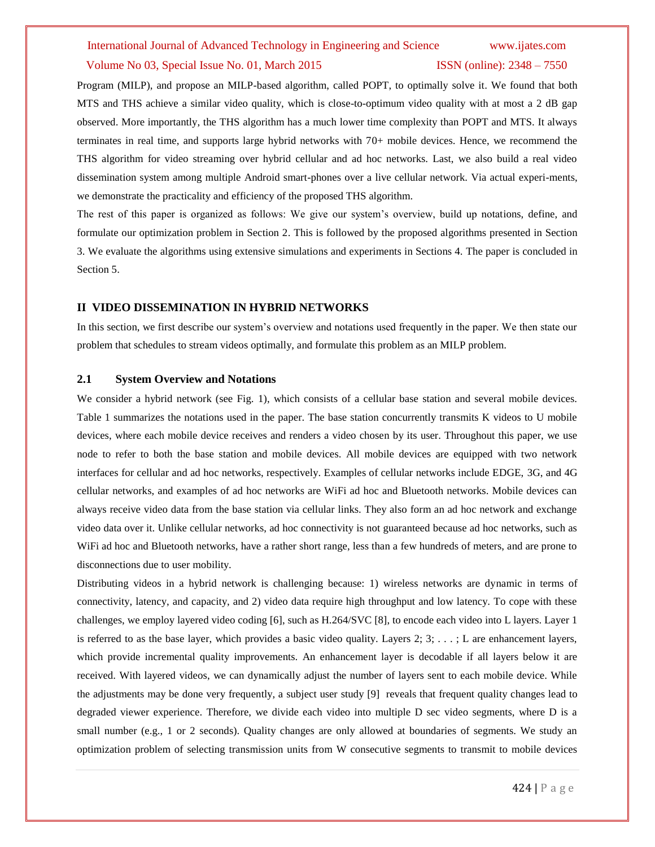#### Volume No 03, Special Issue No. 01, March 2015 ISSN (online): 2348 – 7550

Program (MILP), and propose an MILP-based algorithm, called POPT, to optimally solve it. We found that both MTS and THS achieve a similar video quality, which is close-to-optimum video quality with at most a 2 dB gap observed. More importantly, the THS algorithm has a much lower time complexity than POPT and MTS. It always terminates in real time, and supports large hybrid networks with 70+ mobile devices. Hence, we recommend the THS algorithm for video streaming over hybrid cellular and ad hoc networks. Last, we also build a real video dissemination system among multiple Android smart-phones over a live cellular network. Via actual experi-ments, we demonstrate the practicality and efficiency of the proposed THS algorithm.

The rest of this paper is organized as follows: We give our system's overview, build up notations, define, and formulate our optimization problem in Section 2. This is followed by the proposed algorithms presented in Section 3. We evaluate the algorithms using extensive simulations and experiments in Sections 4. The paper is concluded in Section 5.

### **II VIDEO DISSEMINATION IN HYBRID NETWORKS**

In this section, we first describe our system's overview and notations used frequently in the paper. We then state our problem that schedules to stream videos optimally, and formulate this problem as an MILP problem.

### **2.1 System Overview and Notations**

We consider a hybrid network (see Fig. 1), which consists of a cellular base station and several mobile devices. Table 1 summarizes the notations used in the paper. The base station concurrently transmits K videos to U mobile devices, where each mobile device receives and renders a video chosen by its user. Throughout this paper, we use node to refer to both the base station and mobile devices. All mobile devices are equipped with two network interfaces for cellular and ad hoc networks, respectively. Examples of cellular networks include EDGE, 3G, and 4G cellular networks, and examples of ad hoc networks are WiFi ad hoc and Bluetooth networks. Mobile devices can always receive video data from the base station via cellular links. They also form an ad hoc network and exchange video data over it. Unlike cellular networks, ad hoc connectivity is not guaranteed because ad hoc networks, such as WiFi ad hoc and Bluetooth networks, have a rather short range, less than a few hundreds of meters, and are prone to disconnections due to user mobility.

Distributing videos in a hybrid network is challenging because: 1) wireless networks are dynamic in terms of connectivity, latency, and capacity, and 2) video data require high throughput and low latency. To cope with these challenges, we employ layered video coding [6], such as H.264/SVC [8], to encode each video into L layers. Layer 1 is referred to as the base layer, which provides a basic video quality. Layers  $2; 3; \ldots; L$  are enhancement layers, which provide incremental quality improvements. An enhancement layer is decodable if all layers below it are received. With layered videos, we can dynamically adjust the number of layers sent to each mobile device. While the adjustments may be done very frequently, a subject user study [9] reveals that frequent quality changes lead to degraded viewer experience. Therefore, we divide each video into multiple D sec video segments, where D is a small number (e.g., 1 or 2 seconds). Quality changes are only allowed at boundaries of segments. We study an optimization problem of selecting transmission units from W consecutive segments to transmit to mobile devices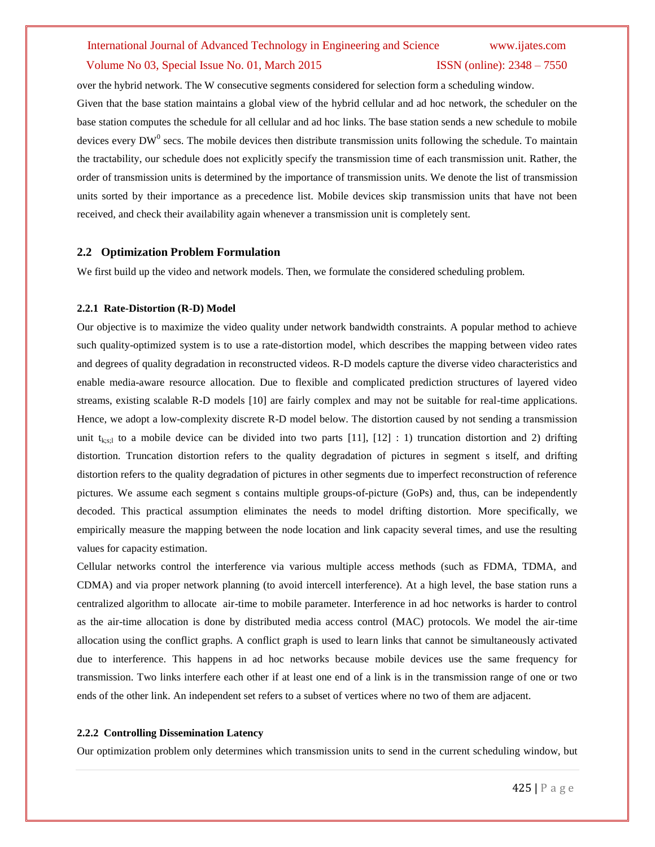### Volume No 03, Special Issue No. 01, March 2015 ISSN (online): 2348 – 7550

over the hybrid network. The W consecutive segments considered for selection form a scheduling window. Given that the base station maintains a global view of the hybrid cellular and ad hoc network, the scheduler on the base station computes the schedule for all cellular and ad hoc links. The base station sends a new schedule to mobile devices every  $DW^0$  secs. The mobile devices then distribute transmission units following the schedule. To maintain the tractability, our schedule does not explicitly specify the transmission time of each transmission unit. Rather, the order of transmission units is determined by the importance of transmission units. We denote the list of transmission units sorted by their importance as a precedence list. Mobile devices skip transmission units that have not been received, and check their availability again whenever a transmission unit is completely sent.

### **2.2 Optimization Problem Formulation**

We first build up the video and network models. Then, we formulate the considered scheduling problem.

#### **2.2.1 Rate-Distortion (R-D) Model**

Our objective is to maximize the video quality under network bandwidth constraints. A popular method to achieve such quality-optimized system is to use a rate-distortion model, which describes the mapping between video rates and degrees of quality degradation in reconstructed videos. R-D models capture the diverse video characteristics and enable media-aware resource allocation. Due to flexible and complicated prediction structures of layered video streams, existing scalable R-D models [10] are fairly complex and may not be suitable for real-time applications. Hence, we adopt a low-complexity discrete R-D model below. The distortion caused by not sending a transmission unit t<sub>kss</sub> to a mobile device can be divided into two parts [11], [12] : 1) truncation distortion and 2) drifting distortion. Truncation distortion refers to the quality degradation of pictures in segment s itself, and drifting distortion refers to the quality degradation of pictures in other segments due to imperfect reconstruction of reference pictures. We assume each segment s contains multiple groups-of-picture (GoPs) and, thus, can be independently decoded. This practical assumption eliminates the needs to model drifting distortion. More specifically, we empirically measure the mapping between the node location and link capacity several times, and use the resulting values for capacity estimation.

Cellular networks control the interference via various multiple access methods (such as FDMA, TDMA, and CDMA) and via proper network planning (to avoid intercell interference). At a high level, the base station runs a centralized algorithm to allocate air-time to mobile parameter. Interference in ad hoc networks is harder to control as the air-time allocation is done by distributed media access control (MAC) protocols. We model the air-time allocation using the conflict graphs. A conflict graph is used to learn links that cannot be simultaneously activated due to interference. This happens in ad hoc networks because mobile devices use the same frequency for transmission. Two links interfere each other if at least one end of a link is in the transmission range of one or two ends of the other link. An independent set refers to a subset of vertices where no two of them are adjacent.

#### **2.2.2 Controlling Dissemination Latency**

Our optimization problem only determines which transmission units to send in the current scheduling window, but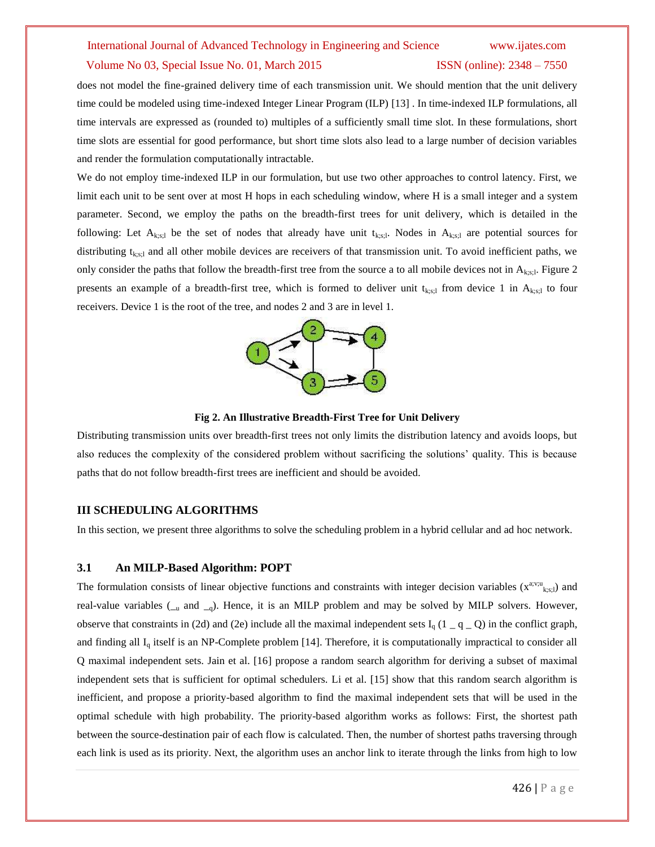#### Volume No 03, Special Issue No. 01, March 2015 ISSN (online): 2348 – 7550

does not model the fine-grained delivery time of each transmission unit. We should mention that the unit delivery time could be modeled using time-indexed Integer Linear Program (ILP) [13] . In time-indexed ILP formulations, all time intervals are expressed as (rounded to) multiples of a sufficiently small time slot. In these formulations, short time slots are essential for good performance, but short time slots also lead to a large number of decision variables and render the formulation computationally intractable.

We do not employ time-indexed ILP in our formulation, but use two other approaches to control latency. First, we limit each unit to be sent over at most H hops in each scheduling window, where H is a small integer and a system parameter. Second, we employ the paths on the breadth-first trees for unit delivery, which is detailed in the following: Let  $A_{k,s,i}$  be the set of nodes that already have unit  $t_{k,s,i}$ . Nodes in  $A_{k,s,i}$  are potential sources for distributing  $t_{k,s,l}$  and all other mobile devices are receivers of that transmission unit. To avoid inefficient paths, we only consider the paths that follow the breadth-first tree from the source a to all mobile devices not in  $A_{k,s,i}$ . Figure 2 presents an example of a breadth-first tree, which is formed to deliver unit  $t_{k,s;l}$  from device 1 in  $A_{k,s;l}$  to four receivers. Device 1 is the root of the tree, and nodes 2 and 3 are in level 1.



#### **Fig 2. An Illustrative Breadth-First Tree for Unit Delivery**

Distributing transmission units over breadth-first trees not only limits the distribution latency and avoids loops, but also reduces the complexity of the considered problem without sacrificing the solutions' quality. This is because paths that do not follow breadth-first trees are inefficient and should be avoided.

### **III SCHEDULING ALGORITHMS**

In this section, we present three algorithms to solve the scheduling problem in a hybrid cellular and ad hoc network.

### **3.1 An MILP-Based Algorithm: POPT**

The formulation consists of linear objective functions and constraints with integer decision variables  $(x^{a;v;u}$ <sub>k;s;l</sub>) and real-value variables  $(\_\_\_\_\$  and  $\_\_\_o)$ . Hence, it is an MILP problem and may be solved by MILP solvers. However, observe that constraints in (2d) and (2e) include all the maximal independent sets I<sub>q</sub> (1 \_ q \_ Q) in the conflict graph, and finding all  $I_q$  itself is an NP-Complete problem [14]. Therefore, it is computationally impractical to consider all Q maximal independent sets. Jain et al. [16] propose a random search algorithm for deriving a subset of maximal independent sets that is sufficient for optimal schedulers. Li et al. [15] show that this random search algorithm is inefficient, and propose a priority-based algorithm to find the maximal independent sets that will be used in the optimal schedule with high probability. The priority-based algorithm works as follows: First, the shortest path between the source-destination pair of each flow is calculated. Then, the number of shortest paths traversing through each link is used as its priority. Next, the algorithm uses an anchor link to iterate through the links from high to low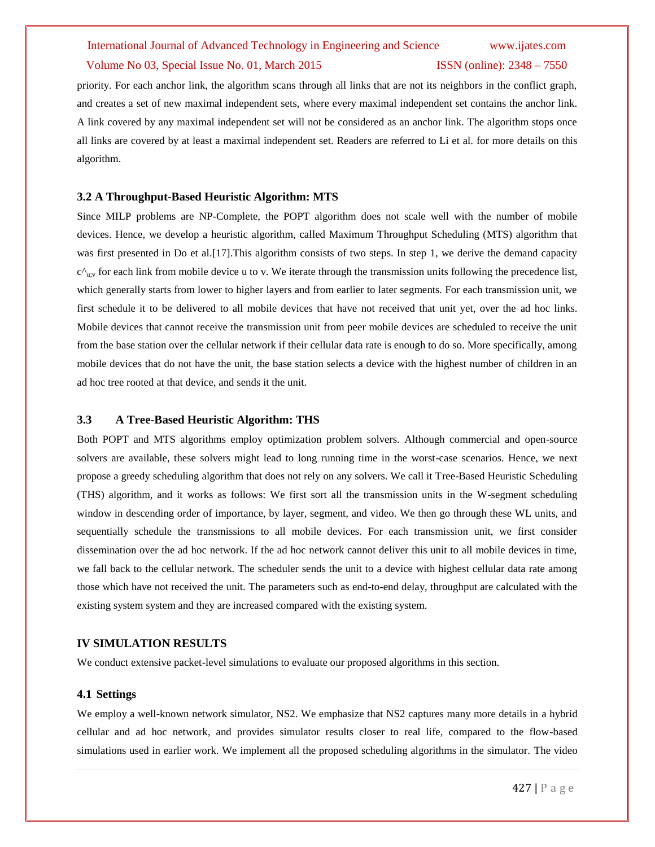#### Volume No 03, Special Issue No. 01, March 2015 ISSN (online): 2348 – 7550

priority. For each anchor link, the algorithm scans through all links that are not its neighbors in the conflict graph, and creates a set of new maximal independent sets, where every maximal independent set contains the anchor link. A link covered by any maximal independent set will not be considered as an anchor link. The algorithm stops once all links are covered by at least a maximal independent set. Readers are referred to Li et al. for more details on this algorithm.

#### **3.2 A Throughput-Based Heuristic Algorithm: MTS**

Since MILP problems are NP-Complete, the POPT algorithm does not scale well with the number of mobile devices. Hence, we develop a heuristic algorithm, called Maximum Throughput Scheduling (MTS) algorithm that was first presented in Do et al.[17]. This algorithm consists of two steps. In step 1, we derive the demand capacity  $c^{\Lambda}$ <sub>u;v</sub> for each link from mobile device u to v. We iterate through the transmission units following the precedence list, which generally starts from lower to higher layers and from earlier to later segments. For each transmission unit, we first schedule it to be delivered to all mobile devices that have not received that unit yet, over the ad hoc links. Mobile devices that cannot receive the transmission unit from peer mobile devices are scheduled to receive the unit from the base station over the cellular network if their cellular data rate is enough to do so. More specifically, among mobile devices that do not have the unit, the base station selects a device with the highest number of children in an ad hoc tree rooted at that device, and sends it the unit.

### **3.3 A Tree-Based Heuristic Algorithm: THS**

Both POPT and MTS algorithms employ optimization problem solvers. Although commercial and open-source solvers are available, these solvers might lead to long running time in the worst-case scenarios. Hence, we next propose a greedy scheduling algorithm that does not rely on any solvers. We call it Tree-Based Heuristic Scheduling (THS) algorithm, and it works as follows: We first sort all the transmission units in the W-segment scheduling window in descending order of importance, by layer, segment, and video. We then go through these WL units, and sequentially schedule the transmissions to all mobile devices. For each transmission unit, we first consider dissemination over the ad hoc network. If the ad hoc network cannot deliver this unit to all mobile devices in time, we fall back to the cellular network. The scheduler sends the unit to a device with highest cellular data rate among those which have not received the unit. The parameters such as end-to-end delay, throughput are calculated with the existing system system and they are increased compared with the existing system.

### **IV SIMULATION RESULTS**

We conduct extensive packet-level simulations to evaluate our proposed algorithms in this section.

#### **4.1 Settings**

We employ a well-known network simulator, NS2. We emphasize that NS2 captures many more details in a hybrid cellular and ad hoc network, and provides simulator results closer to real life, compared to the flow-based simulations used in earlier work. We implement all the proposed scheduling algorithms in the simulator. The video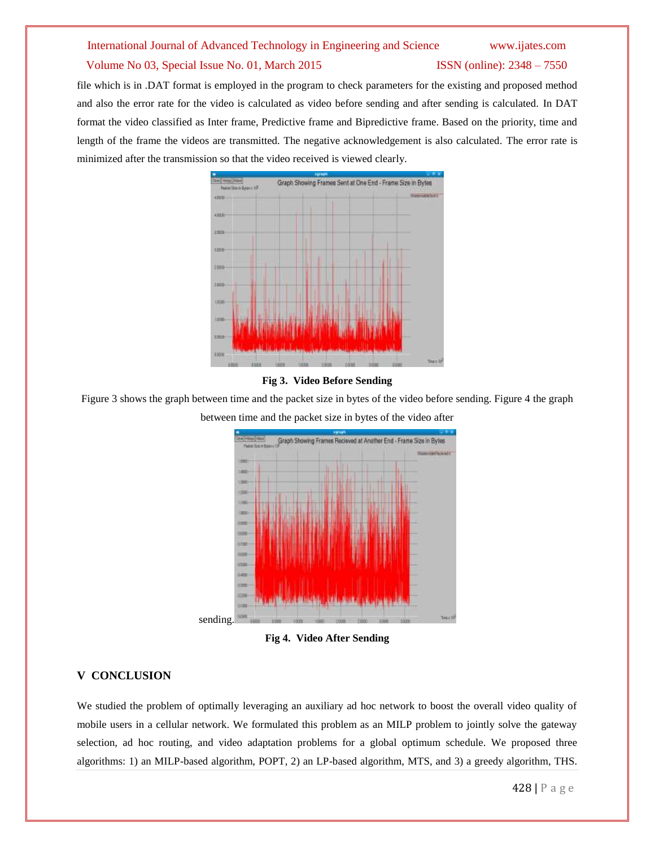### Volume No 03, Special Issue No. 01, March 2015 **ISSN** (online): 2348 – 7550

file which is in .DAT format is employed in the program to check parameters for the existing and proposed method and also the error rate for the video is calculated as video before sending and after sending is calculated. In DAT format the video classified as Inter frame, Predictive frame and Bipredictive frame. Based on the priority, time and length of the frame the videos are transmitted. The negative acknowledgement is also calculated. The error rate is minimized after the transmission so that the video received is viewed clearly.



#### **Fig 3. Video Before Sending**

Figure 3 shows the graph between time and the packet size in bytes of the video before sending. Figure 4 the graph



between time and the packet size in bytes of the video after

**Fig 4. Video After Sending**

# **V CONCLUSION**

We studied the problem of optimally leveraging an auxiliary ad hoc network to boost the overall video quality of mobile users in a cellular network. We formulated this problem as an MILP problem to jointly solve the gateway selection, ad hoc routing, and video adaptation problems for a global optimum schedule. We proposed three algorithms: 1) an MILP-based algorithm, POPT, 2) an LP-based algorithm, MTS, and 3) a greedy algorithm, THS.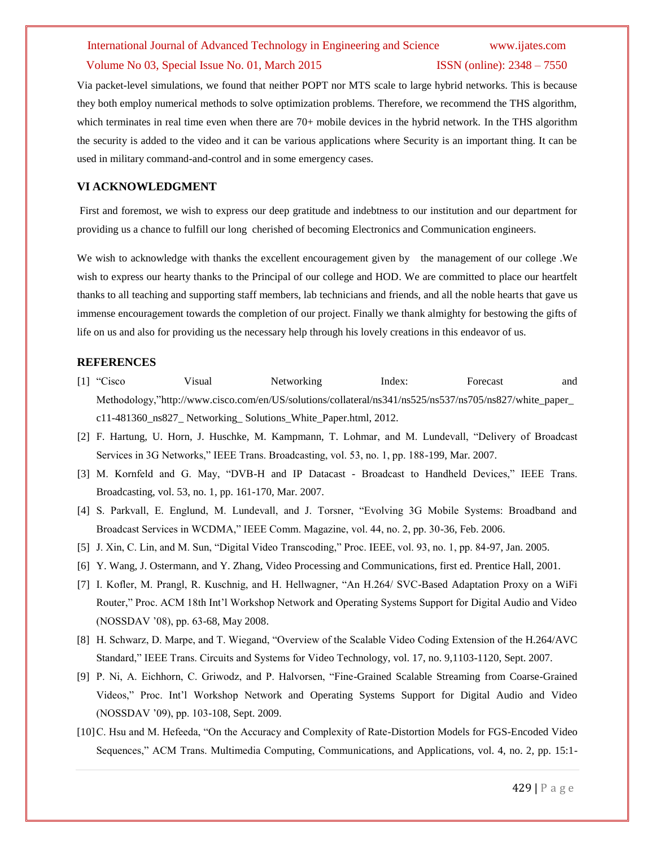### Volume No 03, Special Issue No. 01, March 2015 ISSN (online): 2348 – 7550

Via packet-level simulations, we found that neither POPT nor MTS scale to large hybrid networks. This is because they both employ numerical methods to solve optimization problems. Therefore, we recommend the THS algorithm, which terminates in real time even when there are 70+ mobile devices in the hybrid network. In the THS algorithm the security is added to the video and it can be various applications where Security is an important thing. It can be used in military command-and-control and in some emergency cases.

### **VI ACKNOWLEDGMENT**

First and foremost, we wish to express our deep gratitude and indebtness to our institution and our department for providing us a chance to fulfill our long cherished of becoming Electronics and Communication engineers.

We wish to acknowledge with thanks the excellent encouragement given by the management of our college .We wish to express our hearty thanks to the Principal of our college and HOD. We are committed to place our heartfelt thanks to all teaching and supporting staff members, lab technicians and friends, and all the noble hearts that gave us immense encouragement towards the completion of our project. Finally we thank almighty for bestowing the gifts of life on us and also for providing us the necessary help through his lovely creations in this endeavor of us.

### **REFERENCES**

- [1] "Cisco Visual Networking Index: Forecast and Methodology,"http://www.cisco.com/en/US/solutions/collateral/ns341/ns525/ns537/ns705/ns827/white\_paper\_ c11-481360\_ns827\_ Networking\_ Solutions\_White\_Paper.html, 2012.
- [2] F. Hartung, U. Horn, J. Huschke, M. Kampmann, T. Lohmar, and M. Lundevall, "Delivery of Broadcast Services in 3G Networks," IEEE Trans. Broadcasting, vol. 53, no. 1, pp. 188-199, Mar. 2007.
- [3] M. Kornfeld and G. May, "DVB-H and IP Datacast Broadcast to Handheld Devices," IEEE Trans. Broadcasting, vol. 53, no. 1, pp. 161-170, Mar. 2007.
- [4] S. Parkvall, E. Englund, M. Lundevall, and J. Torsner, "Evolving 3G Mobile Systems: Broadband and Broadcast Services in WCDMA," IEEE Comm. Magazine, vol. 44, no. 2, pp. 30-36, Feb. 2006.
- [5] J. Xin, C. Lin, and M. Sun, "Digital Video Transcoding," Proc. IEEE, vol. 93, no. 1, pp. 84-97, Jan. 2005.
- [6] Y. Wang, J. Ostermann, and Y. Zhang, Video Processing and Communications, first ed. Prentice Hall, 2001.
- [7] I. Kofler, M. Prangl, R. Kuschnig, and H. Hellwagner, "An H.264/ SVC-Based Adaptation Proxy on a WiFi Router," Proc. ACM 18th Int'l Workshop Network and Operating Systems Support for Digital Audio and Video (NOSSDAV '08), pp. 63-68, May 2008.
- [8] H. Schwarz, D. Marpe, and T. Wiegand, "Overview of the Scalable Video Coding Extension of the H.264/AVC Standard," IEEE Trans. Circuits and Systems for Video Technology, vol. 17, no. 9,1103-1120, Sept. 2007.
- [9] P. Ni, A. Eichhorn, C. Griwodz, and P. Halvorsen, "Fine-Grained Scalable Streaming from Coarse-Grained Videos," Proc. Int'l Workshop Network and Operating Systems Support for Digital Audio and Video (NOSSDAV '09), pp. 103-108, Sept. 2009.
- [10]C. Hsu and M. Hefeeda, "On the Accuracy and Complexity of Rate-Distortion Models for FGS-Encoded Video Sequences," ACM Trans. Multimedia Computing, Communications, and Applications, vol. 4, no. 2, pp. 15:1-